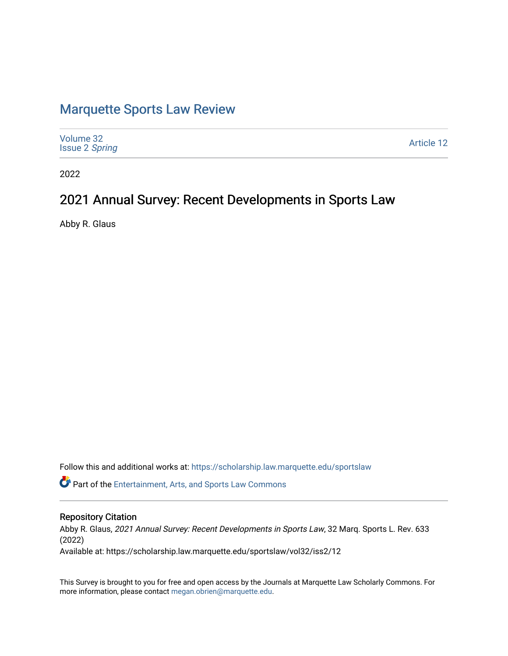# [Marquette Sports Law Review](https://scholarship.law.marquette.edu/sportslaw)

| Volume 32<br><b>Issue 2 Spring</b> | <b>Article 12</b> |
|------------------------------------|-------------------|
|------------------------------------|-------------------|

2022

# 2021 Annual Survey: Recent Developments in Sports Law

Abby R. Glaus

Follow this and additional works at: [https://scholarship.law.marquette.edu/sportslaw](https://scholarship.law.marquette.edu/sportslaw?utm_source=scholarship.law.marquette.edu%2Fsportslaw%2Fvol32%2Fiss2%2F12&utm_medium=PDF&utm_campaign=PDFCoverPages) 

Part of the [Entertainment, Arts, and Sports Law Commons](https://network.bepress.com/hgg/discipline/893?utm_source=scholarship.law.marquette.edu%2Fsportslaw%2Fvol32%2Fiss2%2F12&utm_medium=PDF&utm_campaign=PDFCoverPages)

# Repository Citation

Abby R. Glaus, 2021 Annual Survey: Recent Developments in Sports Law, 32 Marq. Sports L. Rev. 633 (2022)

Available at: https://scholarship.law.marquette.edu/sportslaw/vol32/iss2/12

This Survey is brought to you for free and open access by the Journals at Marquette Law Scholarly Commons. For more information, please contact [megan.obrien@marquette.edu](mailto:megan.obrien@marquette.edu).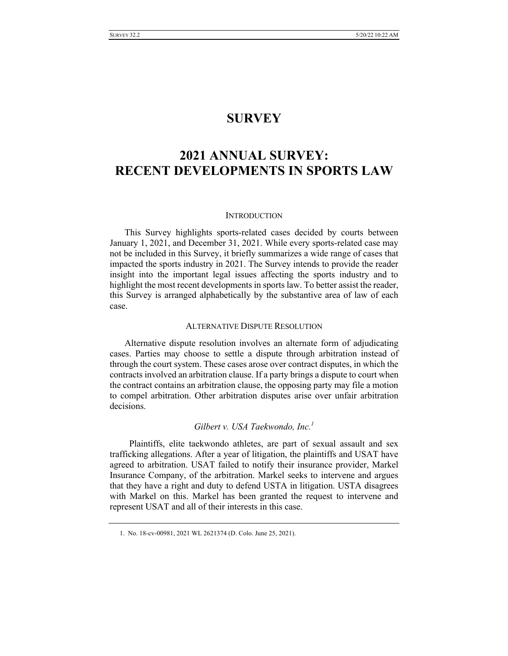# **SURVEY**

# **2021 ANNUAL SURVEY: RECENT DEVELOPMENTS IN SPORTS LAW**

#### **INTRODUCTION**

This Survey highlights sports-related cases decided by courts between January 1, 2021, and December 31, 2021. While every sports-related case may not be included in this Survey, it briefly summarizes a wide range of cases that impacted the sports industry in 2021. The Survey intends to provide the reader insight into the important legal issues affecting the sports industry and to highlight the most recent developments in sports law. To better assist the reader, this Survey is arranged alphabetically by the substantive area of law of each case.

#### ALTERNATIVE DISPUTE RESOLUTION

Alternative dispute resolution involves an alternate form of adjudicating cases. Parties may choose to settle a dispute through arbitration instead of through the court system. These cases arose over contract disputes, in which the contracts involved an arbitration clause. If a party brings a dispute to court when the contract contains an arbitration clause, the opposing party may file a motion to compel arbitration. Other arbitration disputes arise over unfair arbitration decisions.

# *Gilbert v. USA Taekwondo, Inc.1*

 Plaintiffs, elite taekwondo athletes, are part of sexual assault and sex trafficking allegations. After a year of litigation, the plaintiffs and USAT have agreed to arbitration. USAT failed to notify their insurance provider, Markel Insurance Company, of the arbitration. Markel seeks to intervene and argues that they have a right and duty to defend USTA in litigation. USTA disagrees with Markel on this. Markel has been granted the request to intervene and represent USAT and all of their interests in this case.

<sup>1.</sup> No. 18-cv-00981, 2021 WL 2621374 (D. Colo. June 25, 2021).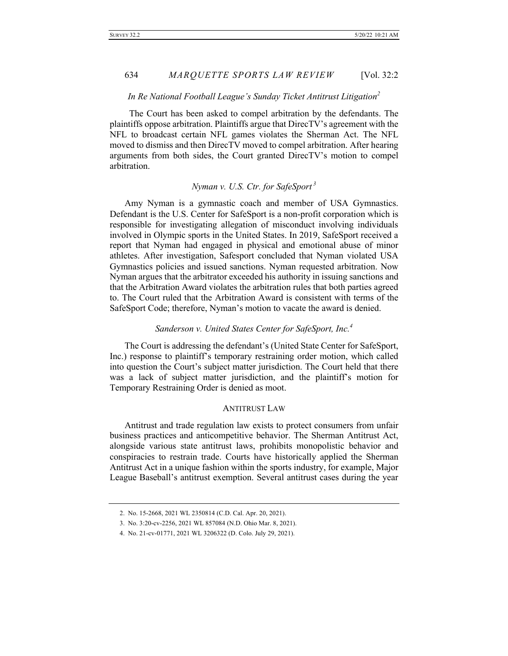#### *In Re National Football League's Sunday Ticket Antitrust Litigation<sup>2</sup>*

 The Court has been asked to compel arbitration by the defendants. The plaintiffs oppose arbitration. Plaintiffs argue that DirecTV's agreement with the NFL to broadcast certain NFL games violates the Sherman Act. The NFL moved to dismiss and then DirecTV moved to compel arbitration. After hearing arguments from both sides, the Court granted DirecTV's motion to compel arbitration.

## *Nyman v. U.S. Ctr. for SafeSport <sup>3</sup>*

Amy Nyman is a gymnastic coach and member of USA Gymnastics. Defendant is the U.S. Center for SafeSport is a non-profit corporation which is responsible for investigating allegation of misconduct involving individuals involved in Olympic sports in the United States. In 2019, SafeSport received a report that Nyman had engaged in physical and emotional abuse of minor athletes. After investigation, Safesport concluded that Nyman violated USA Gymnastics policies and issued sanctions. Nyman requested arbitration. Now Nyman argues that the arbitrator exceeded his authority in issuing sanctions and that the Arbitration Award violates the arbitration rules that both parties agreed to. The Court ruled that the Arbitration Award is consistent with terms of the SafeSport Code; therefore, Nyman's motion to vacate the award is denied.

### *Sanderson v. United States Center for SafeSport, Inc.4*

The Court is addressing the defendant's (United State Center for SafeSport, Inc.) response to plaintiff's temporary restraining order motion, which called into question the Court's subject matter jurisdiction. The Court held that there was a lack of subject matter jurisdiction, and the plaintiff's motion for Temporary Restraining Order is denied as moot.

#### ANTITRUST LAW

Antitrust and trade regulation law exists to protect consumers from unfair business practices and anticompetitive behavior. The Sherman Antitrust Act, alongside various state antitrust laws, prohibits monopolistic behavior and conspiracies to restrain trade. Courts have historically applied the Sherman Antitrust Act in a unique fashion within the sports industry, for example, Major League Baseball's antitrust exemption. Several antitrust cases during the year

<sup>2.</sup> No. 15-2668, 2021 WL 2350814 (C.D. Cal. Apr. 20, 2021).

<sup>3.</sup> No. 3:20-cv-2256, 2021 WL 857084 (N.D. Ohio Mar. 8, 2021).

<sup>4.</sup> No. 21-cv-01771, 2021 WL 3206322 (D. Colo. July 29, 2021).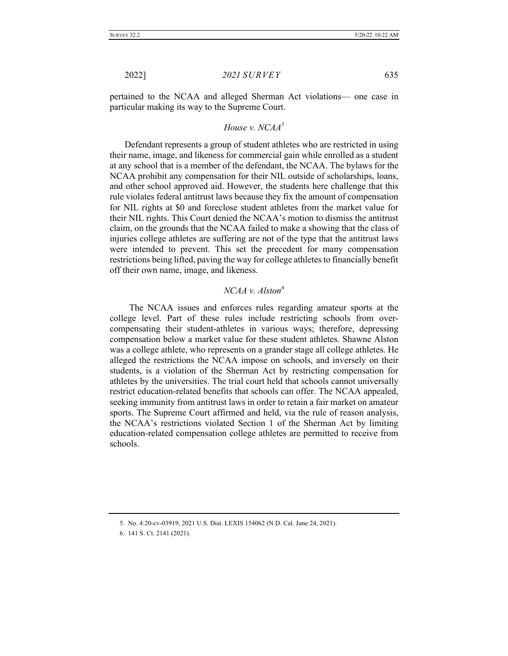pertained to the NCAA and alleged Sherman Act violations— one case in particular making its way to the Supreme Court.

# *House v. NCAA5*

Defendant represents a group of student athletes who are restricted in using their name, image, and likeness for commercial gain while enrolled as a student at any school that is a member of the defendant, the NCAA. The bylaws for the NCAA prohibit any compensation for their NIL outside of scholarships, loans, and other school approved aid. However, the students here challenge that this rule violates federal antitrust laws because they fix the amount of compensation for NIL rights at \$0 and foreclose student athletes from the market value for their NIL rights. This Court denied the NCAA's motion to dismiss the antitrust claim, on the grounds that the NCAA failed to make a showing that the class of injuries college athletes are suffering are not of the type that the antitrust laws were intended to prevent. This set the precedent for many compensation restrictions being lifted, paving the way for college athletes to financially benefit off their own name, image, and likeness.

### *NCAA v. Alston6*

 The NCAA issues and enforces rules regarding amateur sports at the college level. Part of these rules include restricting schools from overcompensating their student-athletes in various ways; therefore, depressing compensation below a market value for these student athletes. Shawne Alston was a college athlete, who represents on a grander stage all college athletes. He alleged the restrictions the NCAA impose on schools, and inversely on their students, is a violation of the Sherman Act by restricting compensation for athletes by the universities. The trial court held that schools cannot universally restrict education-related benefits that schools can offer. The NCAA appealed, seeking immunity from antitrust laws in order to retain a fair market on amateur sports. The Supreme Court affirmed and held, via the rule of reason analysis, the NCAA's restrictions violated Section 1 of the Sherman Act by limiting education-related compensation college athletes are permitted to receive from schools.

<sup>5.</sup> No. 4:20-cv-03919, 2021 U.S. Dist. LEXIS 154062 (N.D. Cal. June 24, 2021).

<sup>6.</sup> 141 S. Ct. 2141 (2021).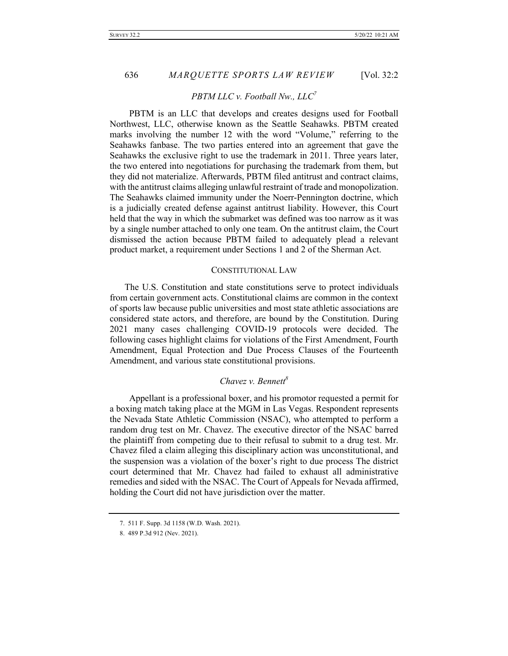636 *MARQUETTE SPORTS LAW REVIEW* [Vol. 32:2

#### *PBTM LLC v. Football Nw., LLC7*

 PBTM is an LLC that develops and creates designs used for Football Northwest, LLC, otherwise known as the Seattle Seahawks. PBTM created marks involving the number 12 with the word "Volume," referring to the Seahawks fanbase. The two parties entered into an agreement that gave the Seahawks the exclusive right to use the trademark in 2011. Three years later, the two entered into negotiations for purchasing the trademark from them, but they did not materialize. Afterwards, PBTM filed antitrust and contract claims, with the antitrust claims alleging unlawful restraint of trade and monopolization. The Seahawks claimed immunity under the Noerr-Pennington doctrine, which is a judicially created defense against antitrust liability. However, this Court held that the way in which the submarket was defined was too narrow as it was by a single number attached to only one team. On the antitrust claim, the Court dismissed the action because PBTM failed to adequately plead a relevant product market, a requirement under Sections 1 and 2 of the Sherman Act.

#### CONSTITUTIONAL LAW

The U.S. Constitution and state constitutions serve to protect individuals from certain government acts. Constitutional claims are common in the context of sports law because public universities and most state athletic associations are considered state actors, and therefore, are bound by the Constitution. During 2021 many cases challenging COVID-19 protocols were decided. The following cases highlight claims for violations of the First Amendment, Fourth Amendment, Equal Protection and Due Process Clauses of the Fourteenth Amendment, and various state constitutional provisions.

## *Chavez v. Bennett8*

 Appellant is a professional boxer, and his promotor requested a permit for a boxing match taking place at the MGM in Las Vegas. Respondent represents the Nevada State Athletic Commission (NSAC), who attempted to perform a random drug test on Mr. Chavez. The executive director of the NSAC barred the plaintiff from competing due to their refusal to submit to a drug test. Mr. Chavez filed a claim alleging this disciplinary action was unconstitutional, and the suspension was a violation of the boxer's right to due process The district court determined that Mr. Chavez had failed to exhaust all administrative remedies and sided with the NSAC. The Court of Appeals for Nevada affirmed, holding the Court did not have jurisdiction over the matter.

<sup>7.</sup> 511 F. Supp. 3d 1158 (W.D. Wash. 2021).

<sup>8.</sup> 489 P.3d 912 (Nev. 2021).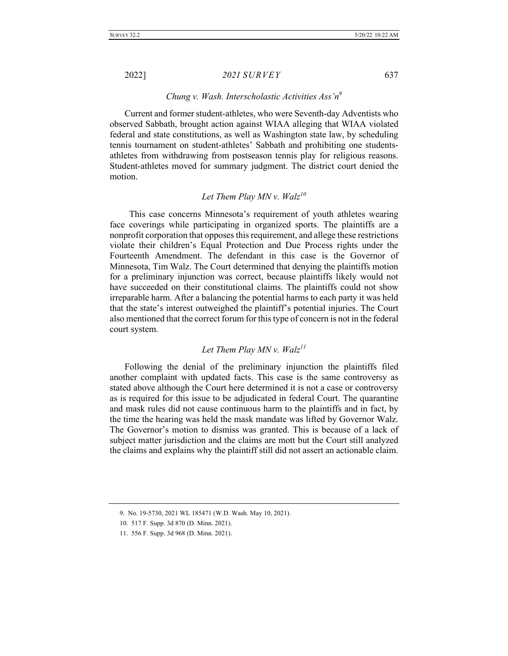#### *Chung v. Wash. Interscholastic Activities Ass'n9*

Current and former student-athletes, who were Seventh-day Adventists who observed Sabbath, brought action against WIAA alleging that WIAA violated federal and state constitutions, as well as Washington state law, by scheduling tennis tournament on student-athletes' Sabbath and prohibiting one studentsathletes from withdrawing from postseason tennis play for religious reasons. Student-athletes moved for summary judgment. The district court denied the motion.

# *Let Them Play MN v. Walz10*

 This case concerns Minnesota's requirement of youth athletes wearing face coverings while participating in organized sports. The plaintiffs are a nonprofit corporation that opposes this requirement, and allege these restrictions violate their children's Equal Protection and Due Process rights under the Fourteenth Amendment. The defendant in this case is the Governor of Minnesota, Tim Walz. The Court determined that denying the plaintiffs motion for a preliminary injunction was correct, because plaintiffs likely would not have succeeded on their constitutional claims. The plaintiffs could not show irreparable harm. After a balancing the potential harms to each party it was held that the state's interest outweighed the plaintiff's potential injuries. The Court also mentioned that the correct forum for this type of concern is not in the federal court system.

# *Let Them Play MN v.*  $Walz^{11}$

Following the denial of the preliminary injunction the plaintiffs filed another complaint with updated facts. This case is the same controversy as stated above although the Court here determined it is not a case or controversy as is required for this issue to be adjudicated in federal Court. The quarantine and mask rules did not cause continuous harm to the plaintiffs and in fact, by the time the hearing was held the mask mandate was lifted by Governor Walz. The Governor's motion to dismiss was granted. This is because of a lack of subject matter jurisdiction and the claims are mott but the Court still analyzed the claims and explains why the plaintiff still did not assert an actionable claim.

<sup>9.</sup> No. 19-5730, 2021 WL 185471 (W.D. Wash. May 10, 2021).

<sup>10.</sup> 517 F. Supp. 3d 870 (D. Minn. 2021).

<sup>11.</sup> 556 F. Supp. 3d 968 (D. Minn. 2021).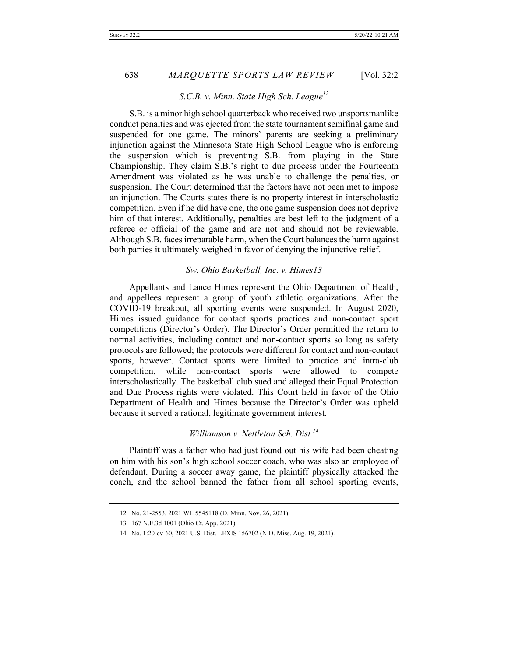#### *S.C.B. v. Minn. State High Sch. League12*

 S.B. is a minor high school quarterback who received two unsportsmanlike conduct penalties and was ejected from the state tournament semifinal game and suspended for one game. The minors' parents are seeking a preliminary injunction against the Minnesota State High School League who is enforcing the suspension which is preventing S.B. from playing in the State Championship. They claim S.B.'s right to due process under the Fourteenth Amendment was violated as he was unable to challenge the penalties, or suspension. The Court determined that the factors have not been met to impose an injunction. The Courts states there is no property interest in interscholastic competition. Even if he did have one, the one game suspension does not deprive him of that interest. Additionally, penalties are best left to the judgment of a referee or official of the game and are not and should not be reviewable. Although S.B. faces irreparable harm, when the Court balances the harm against both parties it ultimately weighed in favor of denying the injunctive relief.

#### *Sw. Ohio Basketball, Inc. v. Himes13*

 Appellants and Lance Himes represent the Ohio Department of Health, and appellees represent a group of youth athletic organizations. After the COVID-19 breakout, all sporting events were suspended. In August 2020, Himes issued guidance for contact sports practices and non-contact sport competitions (Director's Order). The Director's Order permitted the return to normal activities, including contact and non-contact sports so long as safety protocols are followed; the protocols were different for contact and non-contact sports, however. Contact sports were limited to practice and intra-club competition, while non-contact sports were allowed to compete interscholastically. The basketball club sued and alleged their Equal Protection and Due Process rights were violated. This Court held in favor of the Ohio Department of Health and Himes because the Director's Order was upheld because it served a rational, legitimate government interest.

## *Williamson v. Nettleton Sch. Dist.14*

Plaintiff was a father who had just found out his wife had been cheating on him with his son's high school soccer coach, who was also an employee of defendant. During a soccer away game, the plaintiff physically attacked the coach, and the school banned the father from all school sporting events,

<sup>12.</sup> No. 21-2553, 2021 WL 5545118 (D. Minn. Nov. 26, 2021).

<sup>13.</sup> 167 N.E.3d 1001 (Ohio Ct. App. 2021).

<sup>14.</sup> No. 1:20-cv-60, 2021 U.S. Dist. LEXIS 156702 (N.D. Miss. Aug. 19, 2021).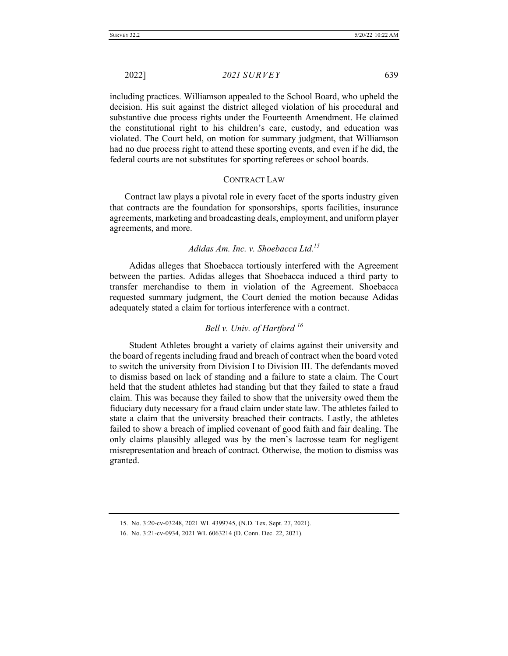including practices. Williamson appealed to the School Board, who upheld the decision. His suit against the district alleged violation of his procedural and substantive due process rights under the Fourteenth Amendment. He claimed the constitutional right to his children's care, custody, and education was violated. The Court held, on motion for summary judgment, that Williamson had no due process right to attend these sporting events, and even if he did, the federal courts are not substitutes for sporting referees or school boards.

#### CONTRACT LAW

Contract law plays a pivotal role in every facet of the sports industry given that contracts are the foundation for sponsorships, sports facilities, insurance agreements, marketing and broadcasting deals, employment, and uniform player agreements, and more.

## *Adidas Am. Inc. v. Shoebacca Ltd.15*

 Adidas alleges that Shoebacca tortiously interfered with the Agreement between the parties. Adidas alleges that Shoebacca induced a third party to transfer merchandise to them in violation of the Agreement. Shoebacca requested summary judgment, the Court denied the motion because Adidas adequately stated a claim for tortious interference with a contract.

# *Bell v. Univ. of Hartford <sup>16</sup>*

 Student Athletes brought a variety of claims against their university and the board of regents including fraud and breach of contract when the board voted to switch the university from Division I to Division III. The defendants moved to dismiss based on lack of standing and a failure to state a claim. The Court held that the student athletes had standing but that they failed to state a fraud claim. This was because they failed to show that the university owed them the fiduciary duty necessary for a fraud claim under state law. The athletes failed to state a claim that the university breached their contracts. Lastly, the athletes failed to show a breach of implied covenant of good faith and fair dealing. The only claims plausibly alleged was by the men's lacrosse team for negligent misrepresentation and breach of contract. Otherwise, the motion to dismiss was granted.

<sup>15.</sup> No. 3:20-cv-03248, 2021 WL 4399745, (N.D. Tex. Sept. 27, 2021).

<sup>16.</sup> No. 3:21-cv-0934, 2021 WL 6063214 (D. Conn. Dec. 22, 2021).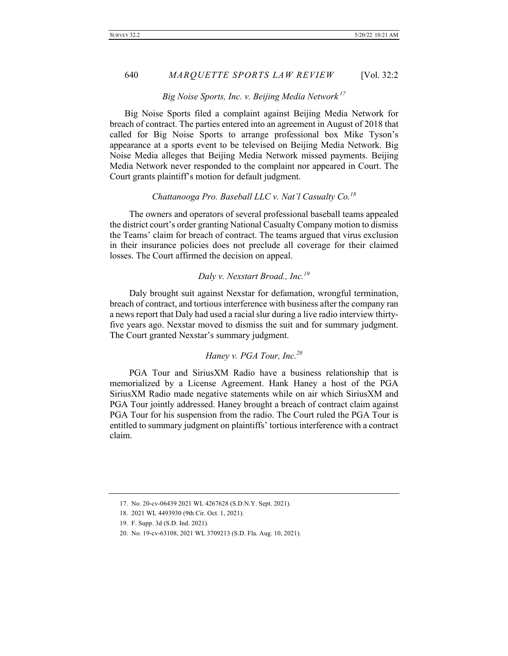#### *Big Noise Sports, Inc. v. Beijing Media Network <sup>17</sup>*

Big Noise Sports filed a complaint against Beijing Media Network for breach of contract. The parties entered into an agreement in August of 2018 that called for Big Noise Sports to arrange professional box Mike Tyson's appearance at a sports event to be televised on Beijing Media Network. Big Noise Media alleges that Beijing Media Network missed payments. Beijing Media Network never responded to the complaint nor appeared in Court. The Court grants plaintiff's motion for default judgment.

# *Chattanooga Pro. Baseball LLC v. Nat'l Casualty Co.<sup>18</sup>*

 The owners and operators of several professional baseball teams appealed the district court's order granting National Casualty Company motion to dismiss the Teams' claim for breach of contract. The teams argued that virus exclusion in their insurance policies does not preclude all coverage for their claimed losses. The Court affirmed the decision on appeal.

# *Daly v. Nexstart Broad., Inc.19*

 Daly brought suit against Nexstar for defamation, wrongful termination, breach of contract, and tortious interference with business after the company ran a news report that Daly had used a racial slur during a live radio interview thirtyfive years ago. Nexstar moved to dismiss the suit and for summary judgment. The Court granted Nexstar's summary judgment.

# *Haney v. PGA Tour, Inc.20*

PGA Tour and SiriusXM Radio have a business relationship that is memorialized by a License Agreement. Hank Haney a host of the PGA SiriusXM Radio made negative statements while on air which SiriusXM and PGA Tour jointly addressed. Haney brought a breach of contract claim against PGA Tour for his suspension from the radio. The Court ruled the PGA Tour is entitled to summary judgment on plaintiffs' tortious interference with a contract claim.

<sup>17.</sup> No. 20-cv-06439 2021 WL 4267628 (S.D.N.Y. Sept. 2021).

<sup>18.</sup> 2021 WL 4493930 (9th Cir. Oct. 1, 2021).

<sup>19.</sup> F. Supp. 3d (S.D. Ind. 2021).

<sup>20.</sup> No. 19-cv-63108, 2021 WL 3709213 (S.D. Fla. Aug. 10, 2021).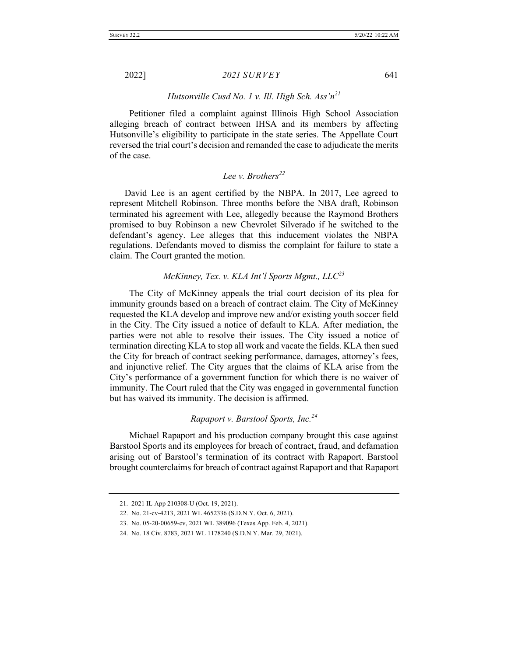#### *Hutsonville Cusd No. 1 v. Ill. High Sch. Ass'n21*

Petitioner filed a complaint against Illinois High School Association alleging breach of contract between IHSA and its members by affecting Hutsonville's eligibility to participate in the state series. The Appellate Court reversed the trial court's decision and remanded the case to adjudicate the merits of the case.

# *Lee v. Brothers<sup>22</sup>*

David Lee is an agent certified by the NBPA. In 2017, Lee agreed to represent Mitchell Robinson. Three months before the NBA draft, Robinson terminated his agreement with Lee, allegedly because the Raymond Brothers promised to buy Robinson a new Chevrolet Silverado if he switched to the defendant's agency. Lee alleges that this inducement violates the NBPA regulations. Defendants moved to dismiss the complaint for failure to state a claim. The Court granted the motion.

# *McKinney, Tex. v. KLA Int'l Sports Mgmt., LLC23*

 The City of McKinney appeals the trial court decision of its plea for immunity grounds based on a breach of contract claim. The City of McKinney requested the KLA develop and improve new and/or existing youth soccer field in the City. The City issued a notice of default to KLA. After mediation, the parties were not able to resolve their issues. The City issued a notice of termination directing KLA to stop all work and vacate the fields. KLA then sued the City for breach of contract seeking performance, damages, attorney's fees, and injunctive relief. The City argues that the claims of KLA arise from the City's performance of a government function for which there is no waiver of immunity. The Court ruled that the City was engaged in governmental function but has waived its immunity. The decision is affirmed.

### *Rapaport v. Barstool Sports, Inc.<sup>24</sup>*

 Michael Rapaport and his production company brought this case against Barstool Sports and its employees for breach of contract, fraud, and defamation arising out of Barstool's termination of its contract with Rapaport. Barstool brought counterclaims for breach of contract against Rapaport and that Rapaport

<sup>21.</sup> 2021 IL App 210308-U (Oct. 19, 2021).

<sup>22.</sup> No. 21-cv-4213, 2021 WL 4652336 (S.D.N.Y. Oct. 6, 2021).

<sup>23.</sup> No. 05-20-00659-cv, 2021 WL 389096 (Texas App. Feb. 4, 2021).

<sup>24.</sup> No. 18 Civ. 8783, 2021 WL 1178240 (S.D.N.Y. Mar. 29, 2021).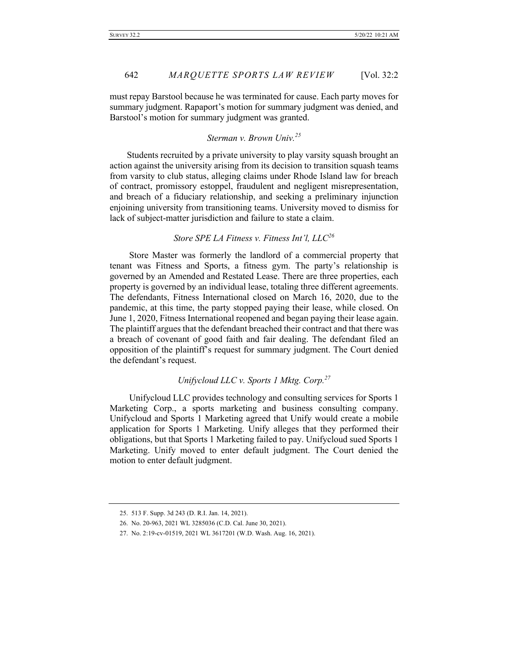must repay Barstool because he was terminated for cause. Each party moves for summary judgment. Rapaport's motion for summary judgment was denied, and Barstool's motion for summary judgment was granted.

# *Sterman v. Brown Univ.<sup>25</sup>*

Students recruited by a private university to play varsity squash brought an action against the university arising from its decision to transition squash teams from varsity to club status, alleging claims under Rhode Island law for breach of contract, promissory estoppel, fraudulent and negligent misrepresentation, and breach of a fiduciary relationship, and seeking a preliminary injunction enjoining university from transitioning teams. University moved to dismiss for lack of subject-matter jurisdiction and failure to state a claim.

# *Store SPE LA Fitness v. Fitness Int'l, LLC<sup>26</sup>*

 Store Master was formerly the landlord of a commercial property that tenant was Fitness and Sports, a fitness gym. The party's relationship is governed by an Amended and Restated Lease. There are three properties, each property is governed by an individual lease, totaling three different agreements. The defendants, Fitness International closed on March 16, 2020, due to the pandemic, at this time, the party stopped paying their lease, while closed. On June 1, 2020, Fitness International reopened and began paying their lease again. The plaintiff argues that the defendant breached their contract and that there was a breach of covenant of good faith and fair dealing. The defendant filed an opposition of the plaintiff's request for summary judgment. The Court denied the defendant's request.

# *Unifycloud LLC v. Sports 1 Mktg. Corp.27*

 Unifycloud LLC provides technology and consulting services for Sports 1 Marketing Corp., a sports marketing and business consulting company. Unifycloud and Sports 1 Marketing agreed that Unify would create a mobile application for Sports 1 Marketing. Unify alleges that they performed their obligations, but that Sports 1 Marketing failed to pay. Unifycloud sued Sports 1 Marketing. Unify moved to enter default judgment. The Court denied the motion to enter default judgment.

<sup>25.</sup> 513 F. Supp. 3d 243 (D. R.I. Jan. 14, 2021).

<sup>26.</sup> No. 20-963, 2021 WL 3285036 (C.D. Cal. June 30, 2021).

<sup>27.</sup> No. 2:19-cv-01519, 2021 WL 3617201 (W.D. Wash. Aug. 16, 2021).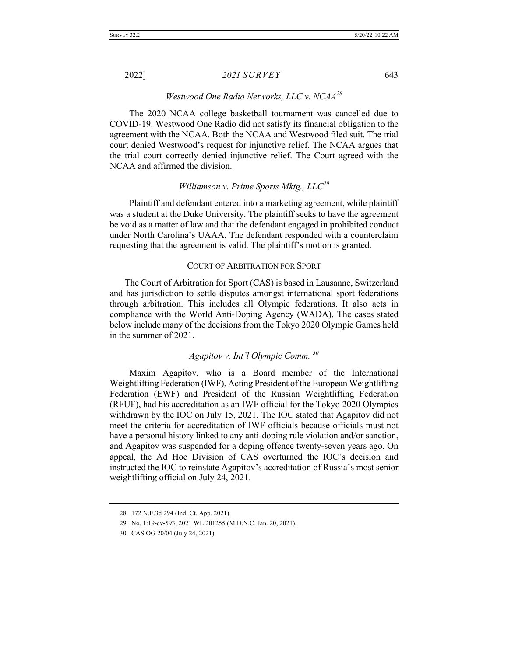### *Westwood One Radio Networks, LLC v. NCAA28*

 The 2020 NCAA college basketball tournament was cancelled due to COVID-19. Westwood One Radio did not satisfy its financial obligation to the agreement with the NCAA. Both the NCAA and Westwood filed suit. The trial court denied Westwood's request for injunctive relief. The NCAA argues that the trial court correctly denied injunctive relief. The Court agreed with the NCAA and affirmed the division.

# *Williamson v. Prime Sports Mktg., LLC<sup>29</sup>*

 Plaintiff and defendant entered into a marketing agreement, while plaintiff was a student at the Duke University. The plaintiff seeks to have the agreement be void as a matter of law and that the defendant engaged in prohibited conduct under North Carolina's UAAA. The defendant responded with a counterclaim requesting that the agreement is valid. The plaintiff's motion is granted.

#### COURT OF ARBITRATION FOR SPORT

The Court of Arbitration for Sport (CAS) is based in Lausanne, Switzerland and has jurisdiction to settle disputes amongst international sport federations through arbitration. This includes all Olympic federations. It also acts in compliance with the World Anti-Doping Agency (WADA). The cases stated below include many of the decisions from the Tokyo 2020 Olympic Games held in the summer of 2021.

# *Agapitov v. Int'l Olympic Comm. <sup>30</sup>*

 Maxim Agapitov, who is a Board member of the International Weightlifting Federation (IWF), Acting President of the European Weightlifting Federation (EWF) and President of the Russian Weightlifting Federation (RFUF), had his accreditation as an IWF official for the Tokyo 2020 Olympics withdrawn by the IOC on July 15, 2021. The IOC stated that Agapitov did not meet the criteria for accreditation of IWF officials because officials must not have a personal history linked to any anti-doping rule violation and/or sanction, and Agapitov was suspended for a doping offence twenty-seven years ago. On appeal, the Ad Hoc Division of CAS overturned the IOC's decision and instructed the IOC to reinstate Agapitov's accreditation of Russia's most senior weightlifting official on July 24, 2021.

<sup>28.</sup> 172 N.E.3d 294 (Ind. Ct. App. 2021).

<sup>29.</sup> No. 1:19-cv-593, 2021 WL 201255 (M.D.N.C. Jan. 20, 2021).

<sup>30.</sup> CAS OG 20/04 (July 24, 2021).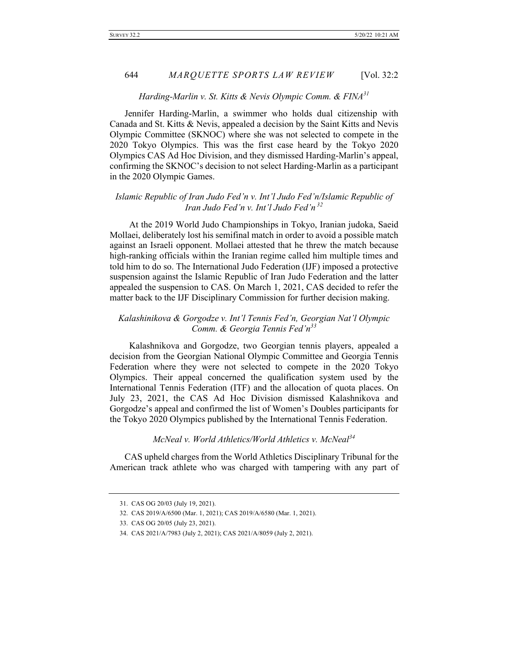### *Harding-Marlin v. St. Kitts & Nevis Olympic Comm. & FINA31*

Jennifer Harding-Marlin, a swimmer who holds dual citizenship with Canada and St. Kitts & Nevis, appealed a decision by the Saint Kitts and Nevis Olympic Committee (SKNOC) where she was not selected to compete in the 2020 Tokyo Olympics. This was the first case heard by the Tokyo 2020 Olympics CAS Ad Hoc Division, and they dismissed Harding-Marlin's appeal, confirming the SKNOC's decision to not select Harding-Marlin as a participant in the 2020 Olympic Games.

### *Islamic Republic of Iran Judo Fed'n v. Int'l Judo Fed'n/Islamic Republic of Iran Judo Fed'n v. Int'l Judo Fed'n <sup>32</sup>*

 At the 2019 World Judo Championships in Tokyo, Iranian judoka, Saeid Mollaei, deliberately lost his semifinal match in order to avoid a possible match against an Israeli opponent. Mollaei attested that he threw the match because high-ranking officials within the Iranian regime called him multiple times and told him to do so. The International Judo Federation (IJF) imposed a protective suspension against the Islamic Republic of Iran Judo Federation and the latter appealed the suspension to CAS. On March 1, 2021, CAS decided to refer the matter back to the IJF Disciplinary Commission for further decision making.

### *Kalashinikova & Gorgodze v. Int'l Tennis Fed'n, Georgian Nat'l Olympic Comm. & Georgia Tennis Fed'n<sup>33</sup>*

 Kalashnikova and Gorgodze, two Georgian tennis players, appealed a decision from the Georgian National Olympic Committee and Georgia Tennis Federation where they were not selected to compete in the 2020 Tokyo Olympics. Their appeal concerned the qualification system used by the International Tennis Federation (ITF) and the allocation of quota places. On July 23, 2021, the CAS Ad Hoc Division dismissed Kalashnikova and Gorgodze's appeal and confirmed the list of Women's Doubles participants for the Tokyo 2020 Olympics published by the International Tennis Federation.

# *McNeal v. World Athletics/World Athletics v. McNeal<sup>34</sup>*

CAS upheld charges from the World Athletics Disciplinary Tribunal for the American track athlete who was charged with tampering with any part of

<sup>31.</sup> CAS OG 20/03 (July 19, 2021).

<sup>32.</sup> CAS 2019/A/6500 (Mar. 1, 2021); CAS 2019/A/6580 (Mar. 1, 2021).

<sup>33.</sup> CAS OG 20/05 (July 23, 2021).

<sup>34.</sup> CAS 2021/A/7983 (July 2, 2021); CAS 2021/A/8059 (July 2, 2021).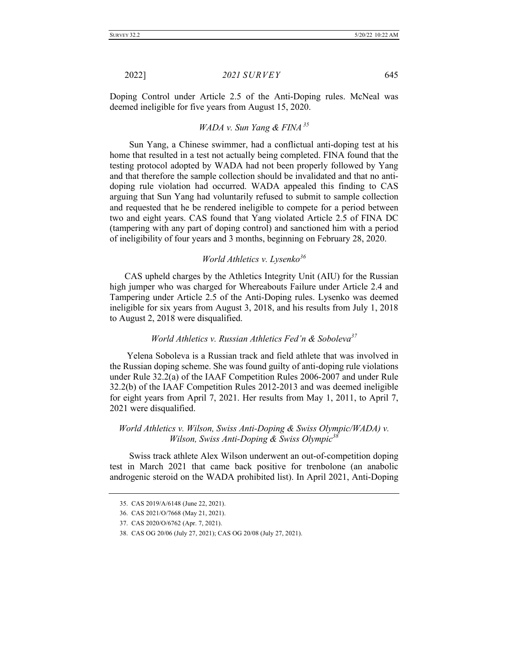Doping Control under Article 2.5 of the Anti-Doping rules. McNeal was deemed ineligible for five years from August 15, 2020.

# *WADA v. Sun Yang & FINA <sup>35</sup>*

 Sun Yang, a Chinese swimmer, had a conflictual anti-doping test at his home that resulted in a test not actually being completed. FINA found that the testing protocol adopted by WADA had not been properly followed by Yang and that therefore the sample collection should be invalidated and that no antidoping rule violation had occurred. WADA appealed this finding to CAS arguing that Sun Yang had voluntarily refused to submit to sample collection and requested that he be rendered ineligible to compete for a period between two and eight years. CAS found that Yang violated Article 2.5 of FINA DC (tampering with any part of doping control) and sanctioned him with a period of ineligibility of four years and 3 months, beginning on February 28, 2020.

### *World Athletics v. Lysenko<sup>36</sup>*

CAS upheld charges by the Athletics Integrity Unit (AIU) for the Russian high jumper who was charged for Whereabouts Failure under Article 2.4 and Tampering under Article 2.5 of the Anti-Doping rules. Lysenko was deemed ineligible for six years from August 3, 2018, and his results from July 1, 2018 to August 2, 2018 were disqualified.

### *World Athletics v. Russian Athletics Fed'n & Soboleva<sup>37</sup>*

Yelena Soboleva is a Russian track and field athlete that was involved in the Russian doping scheme. She was found guilty of anti-doping rule violations under Rule 32.2(a) of the IAAF Competition Rules 2006-2007 and under Rule 32.2(b) of the IAAF Competition Rules 2012-2013 and was deemed ineligible for eight years from April 7, 2021. Her results from May 1, 2011, to April 7, 2021 were disqualified.

## *World Athletics v. Wilson, Swiss Anti-Doping & Swiss Olympic/WADA) v. Wilson, Swiss Anti-Doping & Swiss Olympic38*

 Swiss track athlete Alex Wilson underwent an out-of-competition doping test in March 2021 that came back positive for trenbolone (an anabolic androgenic steroid on the WADA prohibited list). In April 2021, Anti-Doping

<sup>35.</sup> CAS 2019/A/6148 (June 22, 2021).

<sup>36.</sup> CAS 2021/O/7668 (May 21, 2021).

<sup>37.</sup> CAS 2020/O/6762 (Apr. 7, 2021).

<sup>38.</sup> CAS OG 20/06 (July 27, 2021); CAS OG 20/08 (July 27, 2021).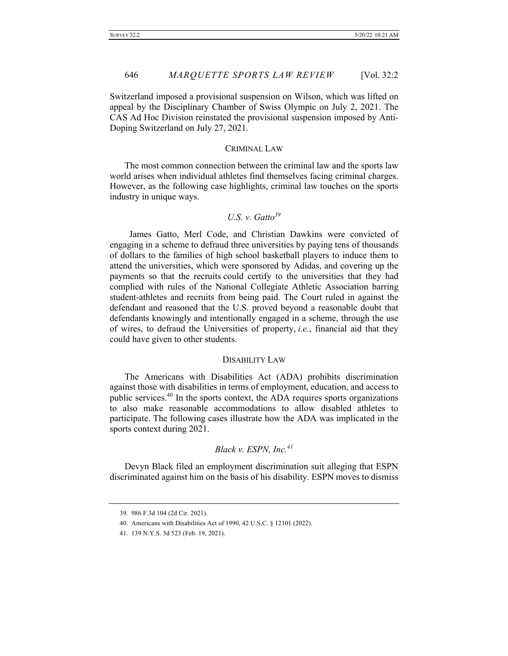Switzerland imposed a provisional suspension on Wilson, which was lifted on appeal by the Disciplinary Chamber of Swiss Olympic on July 2, 2021. The CAS Ad Hoc Division reinstated the provisional suspension imposed by Anti-Doping Switzerland on July 27, 2021.

#### CRIMINAL LAW

The most common connection between the criminal law and the sports law world arises when individual athletes find themselves facing criminal charges. However, as the following case highlights, criminal law touches on the sports industry in unique ways.

# *U.S. v. Gatto39*

 James Gatto, Merl Code, and Christian Dawkins were convicted of engaging in a scheme to defraud three universities by paying tens of thousands of dollars to the families of high school basketball players to induce them to attend the universities, which were sponsored by Adidas, and covering up the payments so that the recruits could certify to the universities that they had complied with rules of the National Collegiate Athletic Association barring student-athletes and recruits from being paid. The Court ruled in against the defendant and reasoned that the U.S. proved beyond a reasonable doubt that defendants knowingly and intentionally engaged in a scheme, through the use of wires, to defraud the Universities of property, *i.e.*, financial aid that they could have given to other students.

#### DISABILITY LAW

The Americans with Disabilities Act (ADA) prohibits discrimination against those with disabilities in terms of employment, education, and access to public services.<sup>40</sup> In the sports context, the ADA requires sports organizations to also make reasonable accommodations to allow disabled athletes to participate. The following cases illustrate how the ADA was implicated in the sports context during 2021.

## *Black v. ESPN, Inc.<sup>41</sup>*

Devyn Black filed an employment discrimination suit alleging that ESPN discriminated against him on the basis of his disability. ESPN moves to dismiss

<sup>39.</sup> 986 F.3d 104 (2d Cir. 2021).

<sup>40.</sup> Americans with Disabilities Act of 1990, 42 U.S.C. § 12101 (2022).

<sup>41.</sup> 139 N.Y.S. 3d 523 (Feb. 19, 2021).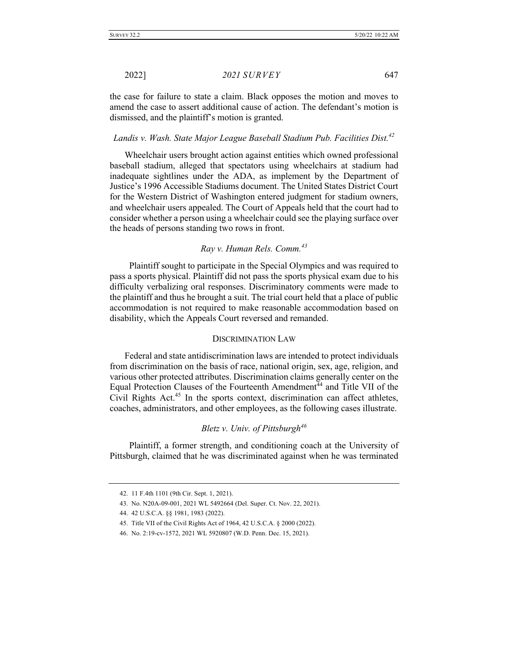the case for failure to state a claim. Black opposes the motion and moves to amend the case to assert additional cause of action. The defendant's motion is dismissed, and the plaintiff's motion is granted.

# *Landis v. Wash. State Major League Baseball Stadium Pub. Facilities Dist.42*

Wheelchair users brought action against entities which owned professional baseball stadium, alleged that spectators using wheelchairs at stadium had inadequate sightlines under the ADA, as implement by the Department of Justice's 1996 Accessible Stadiums document. The United States District Court for the Western District of Washington entered judgment for stadium owners, and wheelchair users appealed. The Court of Appeals held that the court had to consider whether a person using a wheelchair could see the playing surface over the heads of persons standing two rows in front.

## *Ray v. Human Rels. Comm.<sup>43</sup>*

Plaintiff sought to participate in the Special Olympics and was required to pass a sports physical. Plaintiff did not pass the sports physical exam due to his difficulty verbalizing oral responses. Discriminatory comments were made to the plaintiff and thus he brought a suit. The trial court held that a place of public accommodation is not required to make reasonable accommodation based on disability, which the Appeals Court reversed and remanded.

#### DISCRIMINATION LAW

Federal and state antidiscrimination laws are intended to protect individuals from discrimination on the basis of race, national origin, sex, age, religion, and various other protected attributes. Discrimination claims generally center on the Equal Protection Clauses of the Fourteenth Amendment<sup>44</sup> and Title VII of the Civil Rights Act. $45$  In the sports context, discrimination can affect athletes, coaches, administrators, and other employees, as the following cases illustrate.

### *Bletz v. Univ. of Pittsburgh<sup>46</sup>*

 Plaintiff, a former strength, and conditioning coach at the University of Pittsburgh, claimed that he was discriminated against when he was terminated

<sup>42.</sup> 11 F.4th 1101 (9th Cir. Sept. 1, 2021).

<sup>43.</sup> No. N20A-09-001, 2021 WL 5492664 (Del. Super. Ct. Nov. 22, 2021).

<sup>44.</sup> 42 U.S.C.A. §§ 1981, 1983 (2022).

<sup>45.</sup> Title VII of the Civil Rights Act of 1964, 42 U.S.C.A. § 2000 (2022).

<sup>46.</sup> No. 2:19-cv-1572, 2021 WL 5920807 (W.D. Penn. Dec. 15, 2021).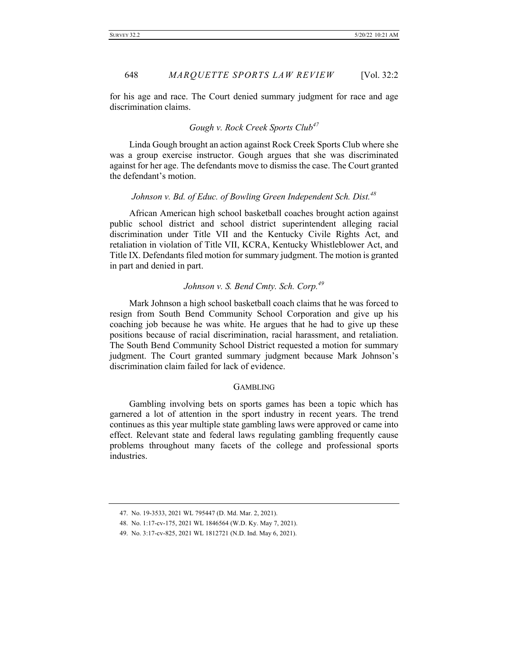for his age and race. The Court denied summary judgment for race and age discrimination claims.

### *Gough v. Rock Creek Sports Club<sup>47</sup>*

 Linda Gough brought an action against Rock Creek Sports Club where she was a group exercise instructor. Gough argues that she was discriminated against for her age. The defendants move to dismiss the case. The Court granted the defendant's motion.

### *Johnson v. Bd. of Educ. of Bowling Green Independent Sch. Dist.*<sup>48</sup>

 African American high school basketball coaches brought action against public school district and school district superintendent alleging racial discrimination under Title VII and the Kentucky Civile Rights Act, and retaliation in violation of Title VII, KCRA, Kentucky Whistleblower Act, and Title IX. Defendants filed motion for summary judgment. The motion is granted in part and denied in part.

### *Johnson v. S. Bend Cmty. Sch. Corp.<sup>49</sup>*

Mark Johnson a high school basketball coach claims that he was forced to resign from South Bend Community School Corporation and give up his coaching job because he was white. He argues that he had to give up these positions because of racial discrimination, racial harassment, and retaliation. The South Bend Community School District requested a motion for summary judgment. The Court granted summary judgment because Mark Johnson's discrimination claim failed for lack of evidence.

#### GAMBLING

 Gambling involving bets on sports games has been a topic which has garnered a lot of attention in the sport industry in recent years. The trend continues as this year multiple state gambling laws were approved or came into effect. Relevant state and federal laws regulating gambling frequently cause problems throughout many facets of the college and professional sports industries.

<sup>47.</sup> No. 19-3533, 2021 WL 795447 (D. Md. Mar. 2, 2021).

<sup>48.</sup> No. 1:17-cv-175, 2021 WL 1846564 (W.D. Ky. May 7, 2021).

<sup>49.</sup> No. 3:17-cv-825, 2021 WL 1812721 (N.D. Ind. May 6, 2021).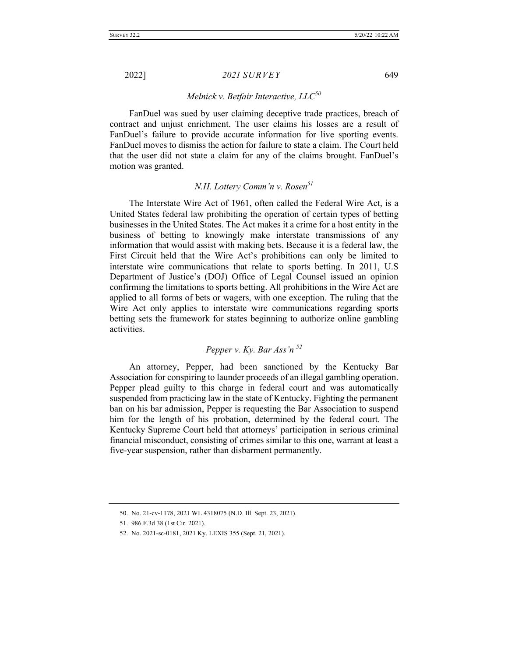### *Melnick v. Betfair Interactive, LLC50*

 FanDuel was sued by user claiming deceptive trade practices, breach of contract and unjust enrichment. The user claims his losses are a result of FanDuel's failure to provide accurate information for live sporting events. FanDuel moves to dismiss the action for failure to state a claim. The Court held that the user did not state a claim for any of the claims brought. FanDuel's motion was granted.

# *N.H. Lottery Comm'n v. Rosen51*

 The Interstate Wire Act of 1961, often called the Federal Wire Act, is a United States federal law prohibiting the operation of certain types of betting businesses in the United States. The Act makes it a crime for a host entity in the business of betting to knowingly make interstate transmissions of any information that would assist with making bets. Because it is a federal law, the First Circuit held that the Wire Act's prohibitions can only be limited to interstate wire communications that relate to sports betting. In 2011, U.S Department of Justice's (DOJ) Office of Legal Counsel issued an opinion confirming the limitations to sports betting. All prohibitions in the Wire Act are applied to all forms of bets or wagers, with one exception. The ruling that the Wire Act only applies to interstate wire communications regarding sports betting sets the framework for states beginning to authorize online gambling activities.

# *Pepper v. Ky. Bar Ass'n <sup>52</sup>*

An attorney, Pepper, had been sanctioned by the Kentucky Bar Association for conspiring to launder proceeds of an illegal gambling operation. Pepper plead guilty to this charge in federal court and was automatically suspended from practicing law in the state of Kentucky. Fighting the permanent ban on his bar admission, Pepper is requesting the Bar Association to suspend him for the length of his probation, determined by the federal court. The Kentucky Supreme Court held that attorneys' participation in serious criminal financial misconduct, consisting of crimes similar to this one, warrant at least a five-year suspension, rather than disbarment permanently.

<sup>50.</sup> No. 21-cv-1178, 2021 WL 4318075 (N.D. Ill. Sept. 23, 2021).

<sup>51.</sup> 986 F.3d 38 (1st Cir. 2021).

<sup>52.</sup> No. 2021-sc-0181, 2021 Ky. LEXIS 355 (Sept. 21, 2021).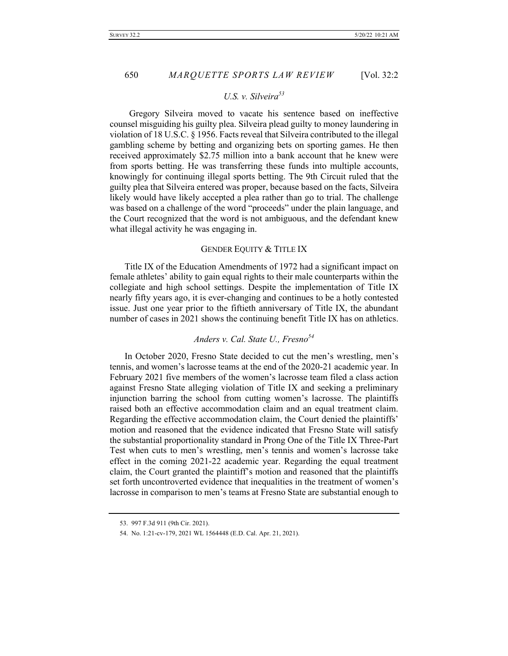### U.S. v. Silveira<sup>53</sup>

 Gregory Silveira moved to vacate his sentence based on ineffective counsel misguiding his guilty plea. Silveira plead guilty to money laundering in violation of 18 U.S.C. § 1956. Facts reveal that Silveira contributed to the illegal gambling scheme by betting and organizing bets on sporting games. He then received approximately \$2.75 million into a bank account that he knew were from sports betting. He was transferring these funds into multiple accounts, knowingly for continuing illegal sports betting. The 9th Circuit ruled that the guilty plea that Silveira entered was proper, because based on the facts, Silveira likely would have likely accepted a plea rather than go to trial. The challenge was based on a challenge of the word "proceeds" under the plain language, and the Court recognized that the word is not ambiguous, and the defendant knew what illegal activity he was engaging in.

#### GENDER EQUITY & TITLE IX

Title IX of the Education Amendments of 1972 had a significant impact on female athletes' ability to gain equal rights to their male counterparts within the collegiate and high school settings. Despite the implementation of Title IX nearly fifty years ago, it is ever-changing and continues to be a hotly contested issue. Just one year prior to the fiftieth anniversary of Title IX, the abundant number of cases in 2021 shows the continuing benefit Title IX has on athletics.

# *Anders v. Cal. State U., Fresno54*

In October 2020, Fresno State decided to cut the men's wrestling, men's tennis, and women's lacrosse teams at the end of the 2020-21 academic year. In February 2021 five members of the women's lacrosse team filed a class action against Fresno State alleging violation of Title IX and seeking a preliminary injunction barring the school from cutting women's lacrosse. The plaintiffs raised both an effective accommodation claim and an equal treatment claim. Regarding the effective accommodation claim, the Court denied the plaintiffs' motion and reasoned that the evidence indicated that Fresno State will satisfy the substantial proportionality standard in Prong One of the Title IX Three-Part Test when cuts to men's wrestling, men's tennis and women's lacrosse take effect in the coming 2021-22 academic year. Regarding the equal treatment claim, the Court granted the plaintiff's motion and reasoned that the plaintiffs set forth uncontroverted evidence that inequalities in the treatment of women's lacrosse in comparison to men's teams at Fresno State are substantial enough to

<sup>53.</sup> 997 F.3d 911 (9th Cir. 2021).

<sup>54.</sup> No. 1:21-cv-179, 2021 WL 1564448 (E.D. Cal. Apr. 21, 2021).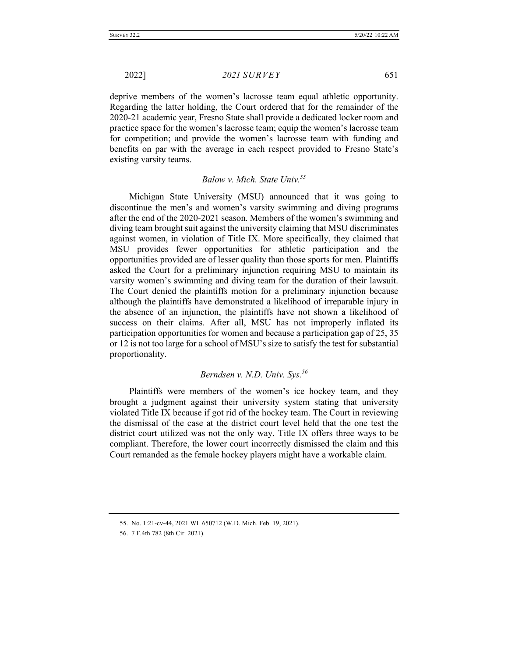deprive members of the women's lacrosse team equal athletic opportunity. Regarding the latter holding, the Court ordered that for the remainder of the 2020-21 academic year, Fresno State shall provide a dedicated locker room and practice space for the women's lacrosse team; equip the women's lacrosse team for competition; and provide the women's lacrosse team with funding and benefits on par with the average in each respect provided to Fresno State's existing varsity teams.

# *Balow v. Mich. State Univ.55*

 Michigan State University (MSU) announced that it was going to discontinue the men's and women's varsity swimming and diving programs after the end of the 2020-2021 season. Members of the women's swimming and diving team brought suit against the university claiming that MSU discriminates against women, in violation of Title IX. More specifically, they claimed that MSU provides fewer opportunities for athletic participation and the opportunities provided are of lesser quality than those sports for men. Plaintiffs asked the Court for a preliminary injunction requiring MSU to maintain its varsity women's swimming and diving team for the duration of their lawsuit. The Court denied the plaintiffs motion for a preliminary injunction because although the plaintiffs have demonstrated a likelihood of irreparable injury in the absence of an injunction, the plaintiffs have not shown a likelihood of success on their claims. After all, MSU has not improperly inflated its participation opportunities for women and because a participation gap of 25, 35 or 12 is not too large for a school of MSU's size to satisfy the test for substantial proportionality.

# *Berndsen v. N.D. Univ. Sys.56*

Plaintiffs were members of the women's ice hockey team, and they brought a judgment against their university system stating that university violated Title IX because if got rid of the hockey team. The Court in reviewing the dismissal of the case at the district court level held that the one test the district court utilized was not the only way. Title IX offers three ways to be compliant. Therefore, the lower court incorrectly dismissed the claim and this Court remanded as the female hockey players might have a workable claim.

<sup>55.</sup> No. 1:21-cv-44, 2021 WL 650712 (W.D. Mich. Feb. 19, 2021).

<sup>56.</sup> 7 F.4th 782 (8th Cir. 2021).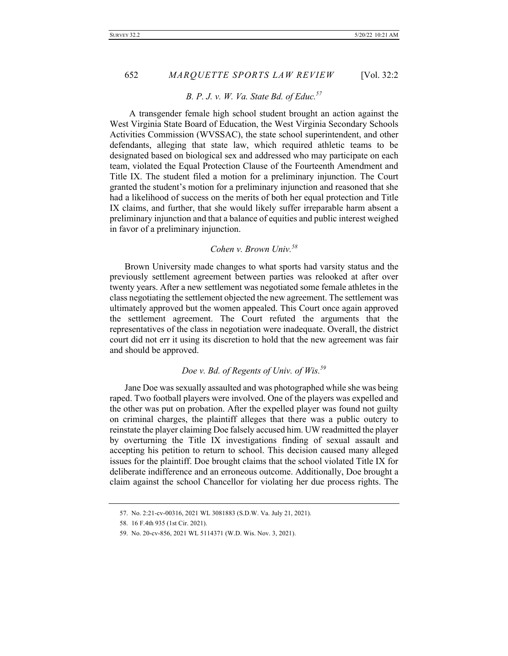### *B. P. J. v. W. Va. State Bd. of Educ.57*

 A transgender female high school student brought an action against the West Virginia State Board of Education, the West Virginia Secondary Schools Activities Commission (WVSSAC), the state school superintendent, and other defendants, alleging that state law, which required athletic teams to be designated based on biological sex and addressed who may participate on each team, violated the Equal Protection Clause of the Fourteenth Amendment and Title IX. The student filed a motion for a preliminary injunction. The Court granted the student's motion for a preliminary injunction and reasoned that she had a likelihood of success on the merits of both her equal protection and Title IX claims, and further, that she would likely suffer irreparable harm absent a preliminary injunction and that a balance of equities and public interest weighed in favor of a preliminary injunction.

# *Cohen v. Brown Univ.58*

Brown University made changes to what sports had varsity status and the previously settlement agreement between parties was relooked at after over twenty years. After a new settlement was negotiated some female athletes in the class negotiating the settlement objected the new agreement. The settlement was ultimately approved but the women appealed. This Court once again approved the settlement agreement. The Court refuted the arguments that the representatives of the class in negotiation were inadequate. Overall, the district court did not err it using its discretion to hold that the new agreement was fair and should be approved.

# *Doe v. Bd. of Regents of Univ. of Wis.59*

Jane Doe was sexually assaulted and was photographed while she was being raped. Two football players were involved. One of the players was expelled and the other was put on probation. After the expelled player was found not guilty on criminal charges, the plaintiff alleges that there was a public outcry to reinstate the player claiming Doe falsely accused him. UW readmitted the player by overturning the Title IX investigations finding of sexual assault and accepting his petition to return to school. This decision caused many alleged issues for the plaintiff. Doe brought claims that the school violated Title IX for deliberate indifference and an erroneous outcome. Additionally, Doe brought a claim against the school Chancellor for violating her due process rights. The

<sup>57.</sup> No. 2:21-cv-00316, 2021 WL 3081883 (S.D.W. Va. July 21, 2021).

<sup>58.</sup> 16 F.4th 935 (1st Cir. 2021).

<sup>59.</sup> No. 20-cv-856, 2021 WL 5114371 (W.D. Wis. Nov. 3, 2021).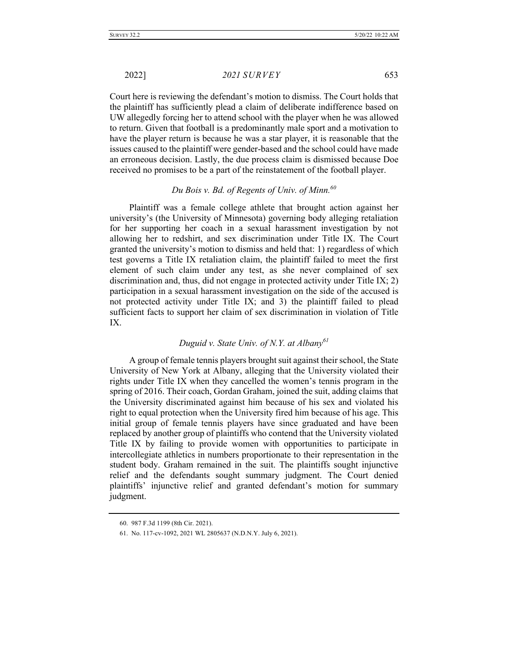Court here is reviewing the defendant's motion to dismiss. The Court holds that the plaintiff has sufficiently plead a claim of deliberate indifference based on UW allegedly forcing her to attend school with the player when he was allowed to return. Given that football is a predominantly male sport and a motivation to have the player return is because he was a star player, it is reasonable that the issues caused to the plaintiff were gender-based and the school could have made an erroneous decision. Lastly, the due process claim is dismissed because Doe received no promises to be a part of the reinstatement of the football player.

# *Du Bois v. Bd. of Regents of Univ. of Minn.60*

 Plaintiff was a female college athlete that brought action against her university's (the University of Minnesota) governing body alleging retaliation for her supporting her coach in a sexual harassment investigation by not allowing her to redshirt, and sex discrimination under Title IX. The Court granted the university's motion to dismiss and held that: 1) regardless of which test governs a Title IX retaliation claim, the plaintiff failed to meet the first element of such claim under any test, as she never complained of sex discrimination and, thus, did not engage in protected activity under Title IX; 2) participation in a sexual harassment investigation on the side of the accused is not protected activity under Title IX; and 3) the plaintiff failed to plead sufficient facts to support her claim of sex discrimination in violation of Title IX.

# *Duguid v. State Univ. of N.Y. at Albany61*

 A group of female tennis players brought suit against their school, the State University of New York at Albany, alleging that the University violated their rights under Title IX when they cancelled the women's tennis program in the spring of 2016. Their coach, Gordan Graham, joined the suit, adding claims that the University discriminated against him because of his sex and violated his right to equal protection when the University fired him because of his age. This initial group of female tennis players have since graduated and have been replaced by another group of plaintiffs who contend that the University violated Title IX by failing to provide women with opportunities to participate in intercollegiate athletics in numbers proportionate to their representation in the student body. Graham remained in the suit. The plaintiffs sought injunctive relief and the defendants sought summary judgment. The Court denied plaintiffs' injunctive relief and granted defendant's motion for summary judgment.

<sup>60.</sup> 987 F.3d 1199 (8th Cir. 2021).

<sup>61.</sup> No. 117-cv-1092, 2021 WL 2805637 (N.D.N.Y. July 6, 2021).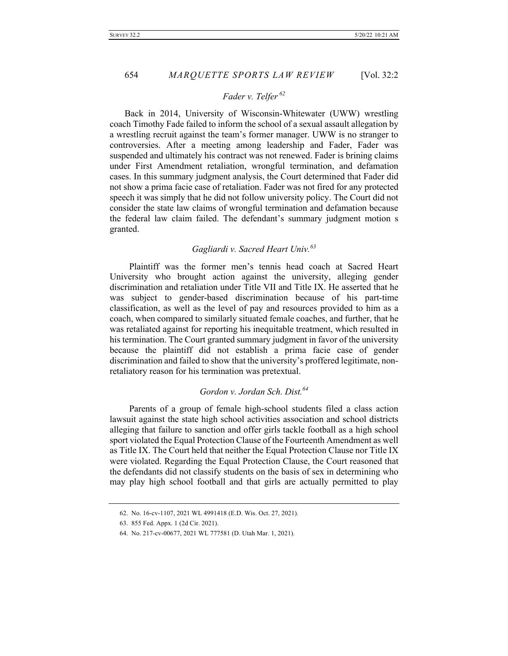### *Fader v. Telfer <sup>62</sup>*

Back in 2014, University of Wisconsin-Whitewater (UWW) wrestling coach Timothy Fade failed to inform the school of a sexual assault allegation by a wrestling recruit against the team's former manager. UWW is no stranger to controversies. After a meeting among leadership and Fader, Fader was suspended and ultimately his contract was not renewed. Fader is brining claims under First Amendment retaliation, wrongful termination, and defamation cases. In this summary judgment analysis, the Court determined that Fader did not show a prima facie case of retaliation. Fader was not fired for any protected speech it was simply that he did not follow university policy. The Court did not consider the state law claims of wrongful termination and defamation because the federal law claim failed. The defendant's summary judgment motion s granted.

# *Gagliardi v. Sacred Heart Univ.<sup>63</sup>*

 Plaintiff was the former men's tennis head coach at Sacred Heart University who brought action against the university, alleging gender discrimination and retaliation under Title VII and Title IX. He asserted that he was subject to gender-based discrimination because of his part-time classification, as well as the level of pay and resources provided to him as a coach, when compared to similarly situated female coaches, and further, that he was retaliated against for reporting his inequitable treatment, which resulted in his termination. The Court granted summary judgment in favor of the university because the plaintiff did not establish a prima facie case of gender discrimination and failed to show that the university's proffered legitimate, nonretaliatory reason for his termination was pretextual.

# *Gordon v. Jordan Sch. Dist.64*

Parents of a group of female high-school students filed a class action lawsuit against the state high school activities association and school districts alleging that failure to sanction and offer girls tackle football as a high school sport violated the Equal Protection Clause of the Fourteenth Amendment as well as Title IX. The Court held that neither the Equal Protection Clause nor Title IX were violated. Regarding the Equal Protection Clause, the Court reasoned that the defendants did not classify students on the basis of sex in determining who may play high school football and that girls are actually permitted to play

<sup>62.</sup> No. 16-cv-1107, 2021 WL 4991418 (E.D. Wis. Oct. 27, 2021).

<sup>63.</sup> 855 Fed. Appx. 1 (2d Cir. 2021).

<sup>64.</sup> No. 217-cv-00677, 2021 WL 777581 (D. Utah Mar. 1, 2021).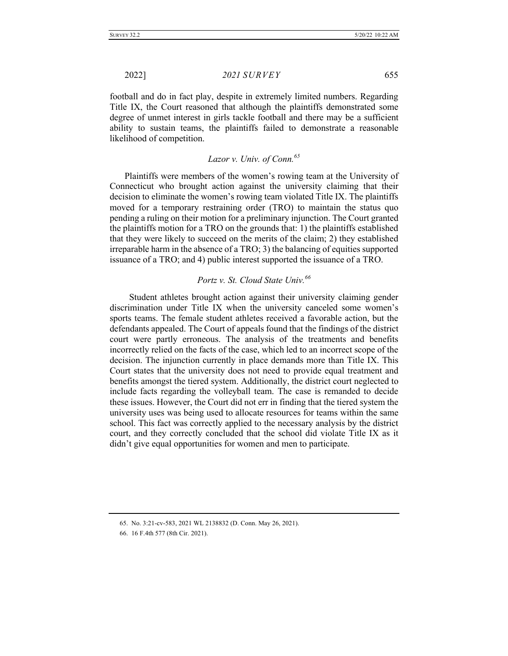football and do in fact play, despite in extremely limited numbers. Regarding Title IX, the Court reasoned that although the plaintiffs demonstrated some degree of unmet interest in girls tackle football and there may be a sufficient ability to sustain teams, the plaintiffs failed to demonstrate a reasonable likelihood of competition.

# *Lazor v. Univ. of Conn.<sup>65</sup>*

Plaintiffs were members of the women's rowing team at the University of Connecticut who brought action against the university claiming that their decision to eliminate the women's rowing team violated Title IX. The plaintiffs moved for a temporary restraining order (TRO) to maintain the status quo pending a ruling on their motion for a preliminary injunction. The Court granted the plaintiffs motion for a TRO on the grounds that: 1) the plaintiffs established that they were likely to succeed on the merits of the claim; 2) they established irreparable harm in the absence of a TRO; 3) the balancing of equities supported issuance of a TRO; and 4) public interest supported the issuance of a TRO.

# *Portz v. St. Cloud State Univ.<sup>66</sup>*

 Student athletes brought action against their university claiming gender discrimination under Title IX when the university canceled some women's sports teams. The female student athletes received a favorable action, but the defendants appealed. The Court of appeals found that the findings of the district court were partly erroneous. The analysis of the treatments and benefits incorrectly relied on the facts of the case, which led to an incorrect scope of the decision. The injunction currently in place demands more than Title IX. This Court states that the university does not need to provide equal treatment and benefits amongst the tiered system. Additionally, the district court neglected to include facts regarding the volleyball team. The case is remanded to decide these issues. However, the Court did not err in finding that the tiered system the university uses was being used to allocate resources for teams within the same school. This fact was correctly applied to the necessary analysis by the district court, and they correctly concluded that the school did violate Title IX as it didn't give equal opportunities for women and men to participate.

<sup>65.</sup> No. 3:21-cv-583, 2021 WL 2138832 (D. Conn. May 26, 2021).

<sup>66.</sup> 16 F.4th 577 (8th Cir. 2021).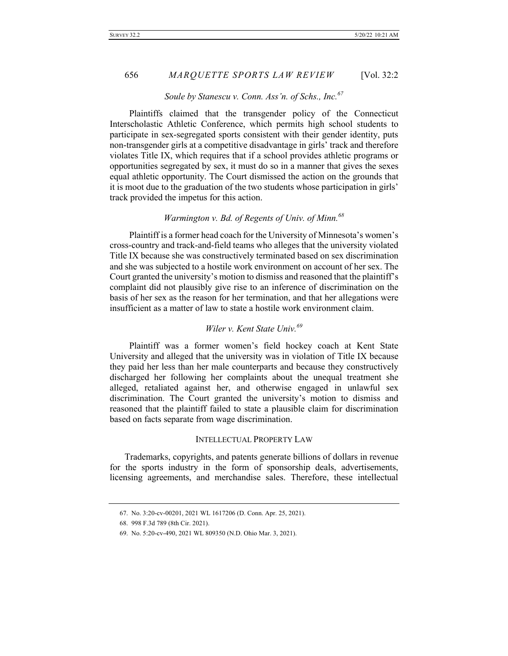### *Soule by Stanescu v. Conn. Ass'n. of Schs., Inc.67*

 Plaintiffs claimed that the transgender policy of the Connecticut Interscholastic Athletic Conference, which permits high school students to participate in sex-segregated sports consistent with their gender identity, puts non-transgender girls at a competitive disadvantage in girls' track and therefore violates Title IX, which requires that if a school provides athletic programs or opportunities segregated by sex, it must do so in a manner that gives the sexes equal athletic opportunity. The Court dismissed the action on the grounds that it is moot due to the graduation of the two students whose participation in girls' track provided the impetus for this action.

# *Warmington v. Bd. of Regents of Univ. of Minn.<sup>68</sup>*

 Plaintiff is a former head coach for the University of Minnesota's women's cross-country and track-and-field teams who alleges that the university violated Title IX because she was constructively terminated based on sex discrimination and she was subjected to a hostile work environment on account of her sex. The Court granted the university's motion to dismiss and reasoned that the plaintiff's complaint did not plausibly give rise to an inference of discrimination on the basis of her sex as the reason for her termination, and that her allegations were insufficient as a matter of law to state a hostile work environment claim.

# *Wiler v. Kent State Univ.69*

 Plaintiff was a former women's field hockey coach at Kent State University and alleged that the university was in violation of Title IX because they paid her less than her male counterparts and because they constructively discharged her following her complaints about the unequal treatment she alleged, retaliated against her, and otherwise engaged in unlawful sex discrimination. The Court granted the university's motion to dismiss and reasoned that the plaintiff failed to state a plausible claim for discrimination based on facts separate from wage discrimination.

#### INTELLECTUAL PROPERTY LAW

Trademarks, copyrights, and patents generate billions of dollars in revenue for the sports industry in the form of sponsorship deals, advertisements, licensing agreements, and merchandise sales. Therefore, these intellectual

<sup>67.</sup> No. 3:20-cv-00201, 2021 WL 1617206 (D. Conn. Apr. 25, 2021).

<sup>68.</sup> 998 F.3d 789 (8th Cir. 2021).

<sup>69.</sup> No. 5:20-cv-490, 2021 WL 809350 (N.D. Ohio Mar. 3, 2021).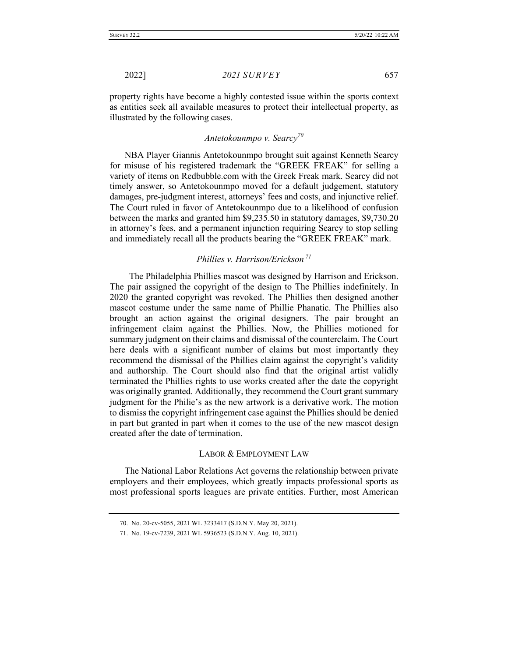property rights have become a highly contested issue within the sports context as entities seek all available measures to protect their intellectual property, as illustrated by the following cases.

## *Antetokounmpo v. Searcy<sup>70</sup>*

NBA Player Giannis Antetokounmpo brought suit against Kenneth Searcy for misuse of his registered trademark the "GREEK FREAK" for selling a variety of items on Redbubble.com with the Greek Freak mark. Searcy did not timely answer, so Antetokounmpo moved for a default judgement, statutory damages, pre-judgment interest, attorneys' fees and costs, and injunctive relief. The Court ruled in favor of Antetokounmpo due to a likelihood of confusion between the marks and granted him \$9,235.50 in statutory damages, \$9,730.20 in attorney's fees, and a permanent injunction requiring Searcy to stop selling and immediately recall all the products bearing the "GREEK FREAK" mark.

# *Phillies v. Harrison/Erickson <sup>71</sup>*

 The Philadelphia Phillies mascot was designed by Harrison and Erickson. The pair assigned the copyright of the design to The Phillies indefinitely. In 2020 the granted copyright was revoked. The Phillies then designed another mascot costume under the same name of Phillie Phanatic. The Phillies also brought an action against the original designers. The pair brought an infringement claim against the Phillies. Now, the Phillies motioned for summary judgment on their claims and dismissal of the counterclaim. The Court here deals with a significant number of claims but most importantly they recommend the dismissal of the Phillies claim against the copyright's validity and authorship. The Court should also find that the original artist validly terminated the Phillies rights to use works created after the date the copyright was originally granted. Additionally, they recommend the Court grant summary judgment for the Philie's as the new artwork is a derivative work. The motion to dismiss the copyright infringement case against the Phillies should be denied in part but granted in part when it comes to the use of the new mascot design created after the date of termination.

#### LABOR & EMPLOYMENT LAW

The National Labor Relations Act governs the relationship between private employers and their employees, which greatly impacts professional sports as most professional sports leagues are private entities. Further, most American

<sup>70.</sup> No. 20-cv-5055, 2021 WL 3233417 (S.D.N.Y. May 20, 2021).

<sup>71.</sup> No. 19-cv-7239, 2021 WL 5936523 (S.D.N.Y. Aug. 10, 2021).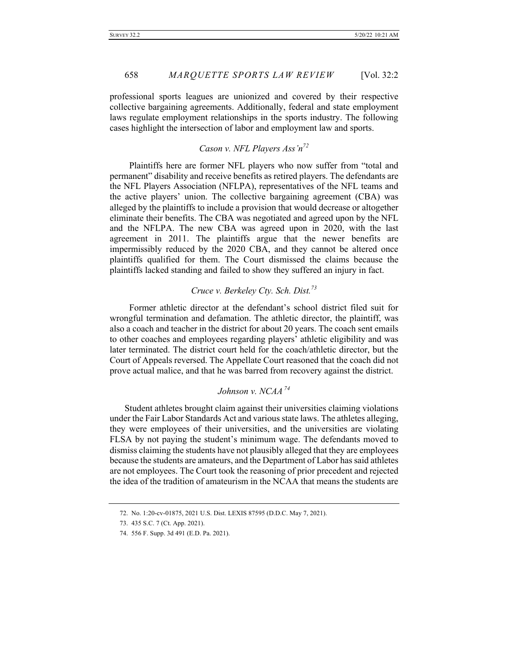professional sports leagues are unionized and covered by their respective collective bargaining agreements. Additionally, federal and state employment laws regulate employment relationships in the sports industry. The following cases highlight the intersection of labor and employment law and sports.

# *Cason v. NFL Players Ass'n72*

 Plaintiffs here are former NFL players who now suffer from "total and permanent" disability and receive benefits as retired players. The defendants are the NFL Players Association (NFLPA), representatives of the NFL teams and the active players' union. The collective bargaining agreement (CBA) was alleged by the plaintiffs to include a provision that would decrease or altogether eliminate their benefits. The CBA was negotiated and agreed upon by the NFL and the NFLPA. The new CBA was agreed upon in 2020, with the last agreement in 2011. The plaintiffs argue that the newer benefits are impermissibly reduced by the 2020 CBA, and they cannot be altered once plaintiffs qualified for them. The Court dismissed the claims because the plaintiffs lacked standing and failed to show they suffered an injury in fact.

# *Cruce v. Berkeley Cty. Sch. Dist. 73*

Former athletic director at the defendant's school district filed suit for wrongful termination and defamation. The athletic director, the plaintiff, was also a coach and teacher in the district for about 20 years. The coach sent emails to other coaches and employees regarding players' athletic eligibility and was later terminated. The district court held for the coach/athletic director, but the Court of Appeals reversed. The Appellate Court reasoned that the coach did not prove actual malice, and that he was barred from recovery against the district.

# *Johnson v. NCAA <sup>74</sup>*

Student athletes brought claim against their universities claiming violations under the Fair Labor Standards Act and various state laws. The athletes alleging, they were employees of their universities, and the universities are violating FLSA by not paying the student's minimum wage. The defendants moved to dismiss claiming the students have not plausibly alleged that they are employees because the students are amateurs, and the Department of Labor has said athletes are not employees. The Court took the reasoning of prior precedent and rejected the idea of the tradition of amateurism in the NCAA that means the students are

<sup>72.</sup> No. 1:20-cv-01875, 2021 U.S. Dist. LEXIS 87595 (D.D.C. May 7, 2021).

<sup>73.</sup> 435 S.C. 7 (Ct. App. 2021).

<sup>74.</sup> 556 F. Supp. 3d 491 (E.D. Pa. 2021).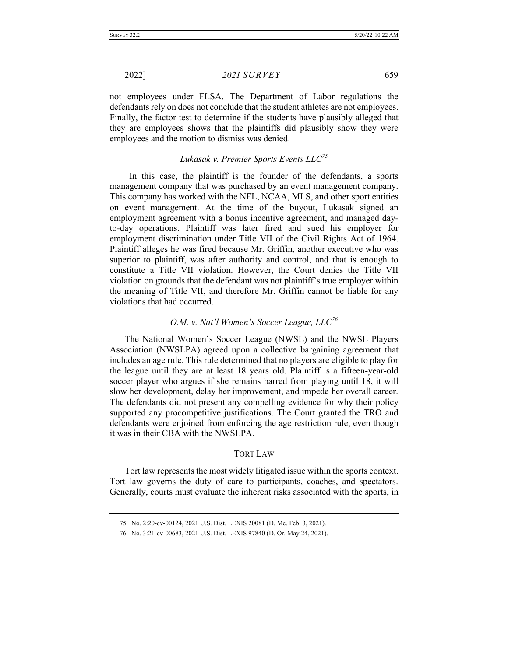not employees under FLSA. The Department of Labor regulations the defendants rely on does not conclude that the student athletes are not employees. Finally, the factor test to determine if the students have plausibly alleged that they are employees shows that the plaintiffs did plausibly show they were employees and the motion to dismiss was denied.

# *Lukasak v. Premier Sports Events LLC75*

 In this case, the plaintiff is the founder of the defendants, a sports management company that was purchased by an event management company. This company has worked with the NFL, NCAA, MLS, and other sport entities on event management. At the time of the buyout, Lukasak signed an employment agreement with a bonus incentive agreement, and managed dayto-day operations. Plaintiff was later fired and sued his employer for employment discrimination under Title VII of the Civil Rights Act of 1964. Plaintiff alleges he was fired because Mr. Griffin, another executive who was superior to plaintiff, was after authority and control, and that is enough to constitute a Title VII violation. However, the Court denies the Title VII violation on grounds that the defendant was not plaintiff's true employer within the meaning of Title VII, and therefore Mr. Griffin cannot be liable for any violations that had occurred.

### *O.M. v. Nat'l Women's Soccer League, LLC<sup>76</sup>*

The National Women's Soccer League (NWSL) and the NWSL Players Association (NWSLPA) agreed upon a collective bargaining agreement that includes an age rule. This rule determined that no players are eligible to play for the league until they are at least 18 years old. Plaintiff is a fifteen-year-old soccer player who argues if she remains barred from playing until 18, it will slow her development, delay her improvement, and impede her overall career. The defendants did not present any compelling evidence for why their policy supported any procompetitive justifications. The Court granted the TRO and defendants were enjoined from enforcing the age restriction rule, even though it was in their CBA with the NWSLPA.

#### TORT LAW

Tort law represents the most widely litigated issue within the sports context. Tort law governs the duty of care to participants, coaches, and spectators. Generally, courts must evaluate the inherent risks associated with the sports, in

<sup>75.</sup> No. 2:20-cv-00124, 2021 U.S. Dist. LEXIS 20081 (D. Me. Feb. 3, 2021).

<sup>76.</sup> No. 3:21-cv-00683, 2021 U.S. Dist. LEXIS 97840 (D. Or. May 24, 2021).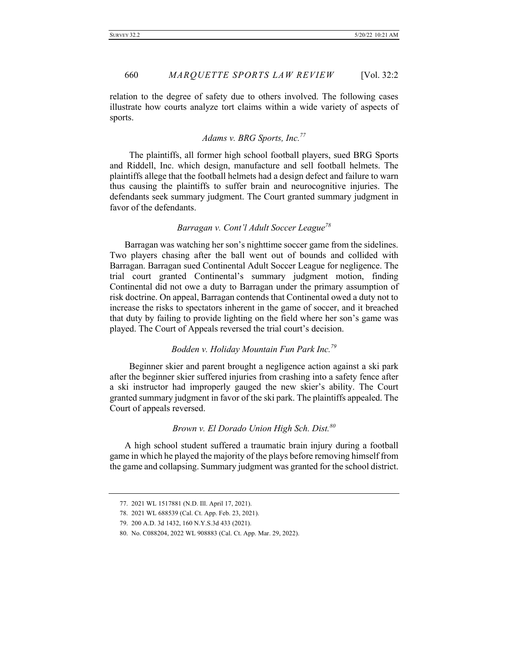relation to the degree of safety due to others involved. The following cases illustrate how courts analyze tort claims within a wide variety of aspects of sports.

# *Adams v. BRG Sports, Inc.77*

 The plaintiffs, all former high school football players, sued BRG Sports and Riddell, Inc. which design, manufacture and sell football helmets. The plaintiffs allege that the football helmets had a design defect and failure to warn thus causing the plaintiffs to suffer brain and neurocognitive injuries. The defendants seek summary judgment. The Court granted summary judgment in favor of the defendants.

# *Barragan v. Cont'l Adult Soccer League<sup>78</sup>*

Barragan was watching her son's nighttime soccer game from the sidelines. Two players chasing after the ball went out of bounds and collided with Barragan. Barragan sued Continental Adult Soccer League for negligence. The trial court granted Continental's summary judgment motion, finding Continental did not owe a duty to Barragan under the primary assumption of risk doctrine. On appeal, Barragan contends that Continental owed a duty not to increase the risks to spectators inherent in the game of soccer, and it breached that duty by failing to provide lighting on the field where her son's game was played. The Court of Appeals reversed the trial court's decision.

#### *Bodden v. Holiday Mountain Fun Park Inc.79*

 Beginner skier and parent brought a negligence action against a ski park after the beginner skier suffered injuries from crashing into a safety fence after a ski instructor had improperly gauged the new skier's ability. The Court granted summary judgment in favor of the ski park. The plaintiffs appealed. The Court of appeals reversed.

### *Brown v. El Dorado Union High Sch. Dist.<sup>80</sup>*

A high school student suffered a traumatic brain injury during a football game in which he played the majority of the plays before removing himself from the game and collapsing. Summary judgment was granted for the school district.

<sup>77.</sup> 2021 WL 1517881 (N.D. Ill. April 17, 2021).

<sup>78.</sup> 2021 WL 688539 (Cal. Ct. App. Feb. 23, 2021).

<sup>79.</sup> 200 A.D. 3d 1432, 160 N.Y.S.3d 433 (2021).

<sup>80.</sup> No. C088204, 2022 WL 908883 (Cal. Ct. App. Mar. 29, 2022).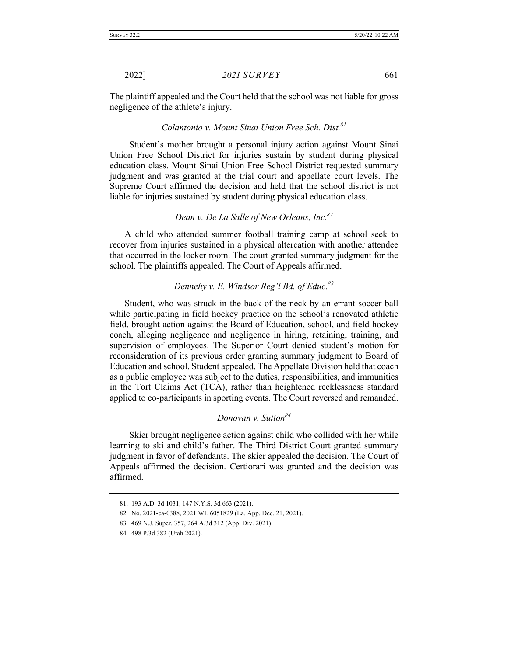The plaintiff appealed and the Court held that the school was not liable for gross negligence of the athlete's injury.

### *Colantonio v. Mount Sinai Union Free Sch. Dist.81*

 Student's mother brought a personal injury action against Mount Sinai Union Free School District for injuries sustain by student during physical education class. Mount Sinai Union Free School District requested summary judgment and was granted at the trial court and appellate court levels. The Supreme Court affirmed the decision and held that the school district is not liable for injuries sustained by student during physical education class.

# *Dean v. De La Salle of New Orleans, Inc.82*

A child who attended summer football training camp at school seek to recover from injuries sustained in a physical altercation with another attendee that occurred in the locker room. The court granted summary judgment for the school. The plaintiffs appealed. The Court of Appeals affirmed.

# *Dennehy v. E. Windsor Reg'l Bd. of Educ.83*

Student, who was struck in the back of the neck by an errant soccer ball while participating in field hockey practice on the school's renovated athletic field, brought action against the Board of Education, school, and field hockey coach, alleging negligence and negligence in hiring, retaining, training, and supervision of employees. The Superior Court denied student's motion for reconsideration of its previous order granting summary judgment to Board of Education and school. Student appealed. The Appellate Division held that coach as a public employee was subject to the duties, responsibilities, and immunities in the Tort Claims Act (TCA), rather than heightened recklessness standard applied to co-participants in sporting events. The Court reversed and remanded.

# *Donovan v. Sutton84*

 Skier brought negligence action against child who collided with her while learning to ski and child's father. The Third District Court granted summary judgment in favor of defendants. The skier appealed the decision. The Court of Appeals affirmed the decision. Certiorari was granted and the decision was affirmed.

<sup>81.</sup> 193 A.D. 3d 1031, 147 N.Y.S. 3d 663 (2021).

<sup>82.</sup> No. 2021-ca-0388, 2021 WL 6051829 (La. App. Dec. 21, 2021).

<sup>83.</sup> 469 N.J. Super. 357, 264 A.3d 312 (App. Div. 2021).

<sup>84.</sup> 498 P.3d 382 (Utah 2021).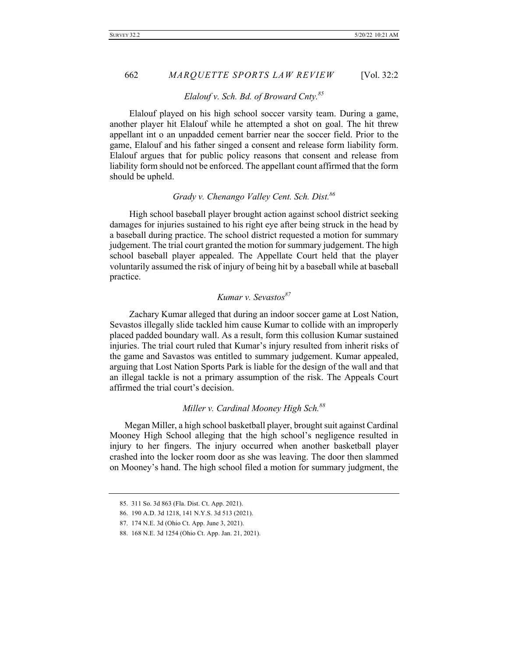### *Elalouf v. Sch. Bd. of Broward Cnty.85*

 Elalouf played on his high school soccer varsity team. During a game, another player hit Elalouf while he attempted a shot on goal. The hit threw appellant int o an unpadded cement barrier near the soccer field. Prior to the game, Elalouf and his father singed a consent and release form liability form. Elalouf argues that for public policy reasons that consent and release from liability form should not be enforced. The appellant count affirmed that the form should be upheld.

# *Grady v. Chenango Valley Cent. Sch. Dist.86*

 High school baseball player brought action against school district seeking damages for injuries sustained to his right eye after being struck in the head by a baseball during practice. The school district requested a motion for summary judgement. The trial court granted the motion for summary judgement. The high school baseball player appealed. The Appellate Court held that the player voluntarily assumed the risk of injury of being hit by a baseball while at baseball practice.

# *Kumar v. Sevastos87*

Zachary Kumar alleged that during an indoor soccer game at Lost Nation, Sevastos illegally slide tackled him cause Kumar to collide with an improperly placed padded boundary wall. As a result, form this collusion Kumar sustained injuries. The trial court ruled that Kumar's injury resulted from inherit risks of the game and Savastos was entitled to summary judgement. Kumar appealed, arguing that Lost Nation Sports Park is liable for the design of the wall and that an illegal tackle is not a primary assumption of the risk. The Appeals Court affirmed the trial court's decision.

# *Miller v. Cardinal Mooney High Sch.88*

Megan Miller, a high school basketball player, brought suit against Cardinal Mooney High School alleging that the high school's negligence resulted in injury to her fingers. The injury occurred when another basketball player crashed into the locker room door as she was leaving. The door then slammed on Mooney's hand. The high school filed a motion for summary judgment, the

<sup>85.</sup> 311 So. 3d 863 (Fla. Dist. Ct. App. 2021).

<sup>86.</sup> 190 A.D. 3d 1218, 141 N.Y.S. 3d 513 (2021).

<sup>87.</sup> 174 N.E. 3d (Ohio Ct. App. June 3, 2021).

<sup>88.</sup> 168 N.E. 3d 1254 (Ohio Ct. App. Jan. 21, 2021).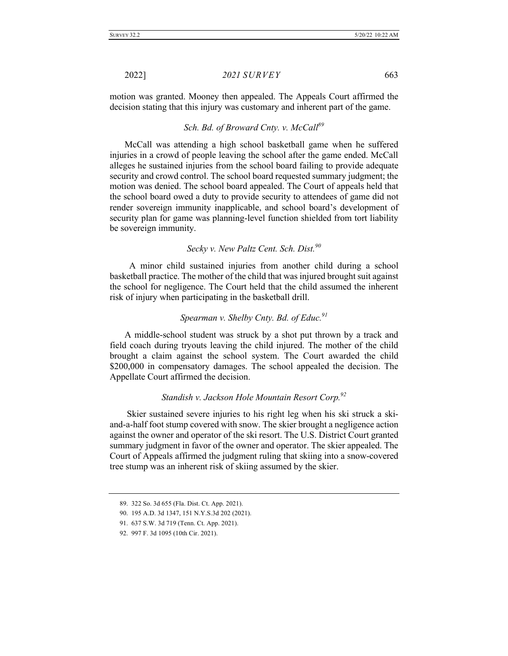motion was granted. Mooney then appealed. The Appeals Court affirmed the decision stating that this injury was customary and inherent part of the game.

### *Sch. Bd. of Broward Cnty. v. McCall89*

McCall was attending a high school basketball game when he suffered injuries in a crowd of people leaving the school after the game ended. McCall alleges he sustained injuries from the school board failing to provide adequate security and crowd control. The school board requested summary judgment; the motion was denied. The school board appealed. The Court of appeals held that the school board owed a duty to provide security to attendees of game did not render sovereign immunity inapplicable, and school board's development of security plan for game was planning-level function shielded from tort liability be sovereign immunity.

# *Secky v. New Paltz Cent. Sch. Dist.90*

 A minor child sustained injuries from another child during a school basketball practice. The mother of the child that was injured brought suit against the school for negligence. The Court held that the child assumed the inherent risk of injury when participating in the basketball drill.

### *Spearman v. Shelby Cnty. Bd. of Educ.91*

A middle-school student was struck by a shot put thrown by a track and field coach during tryouts leaving the child injured. The mother of the child brought a claim against the school system. The Court awarded the child \$200,000 in compensatory damages. The school appealed the decision. The Appellate Court affirmed the decision.

### *Standish v. Jackson Hole Mountain Resort Corp.92*

Skier sustained severe injuries to his right leg when his ski struck a skiand-a-half foot stump covered with snow. The skier brought a negligence action against the owner and operator of the ski resort. The U.S. District Court granted summary judgment in favor of the owner and operator. The skier appealed. The Court of Appeals affirmed the judgment ruling that skiing into a snow-covered tree stump was an inherent risk of skiing assumed by the skier.

<sup>89.</sup> 322 So. 3d 655 (Fla. Dist. Ct. App. 2021).

<sup>90.</sup> 195 A.D. 3d 1347, 151 N.Y.S.3d 202 (2021).

<sup>91.</sup> 637 S.W. 3d 719 (Tenn. Ct. App. 2021).

<sup>92.</sup> 997 F. 3d 1095 (10th Cir. 2021).